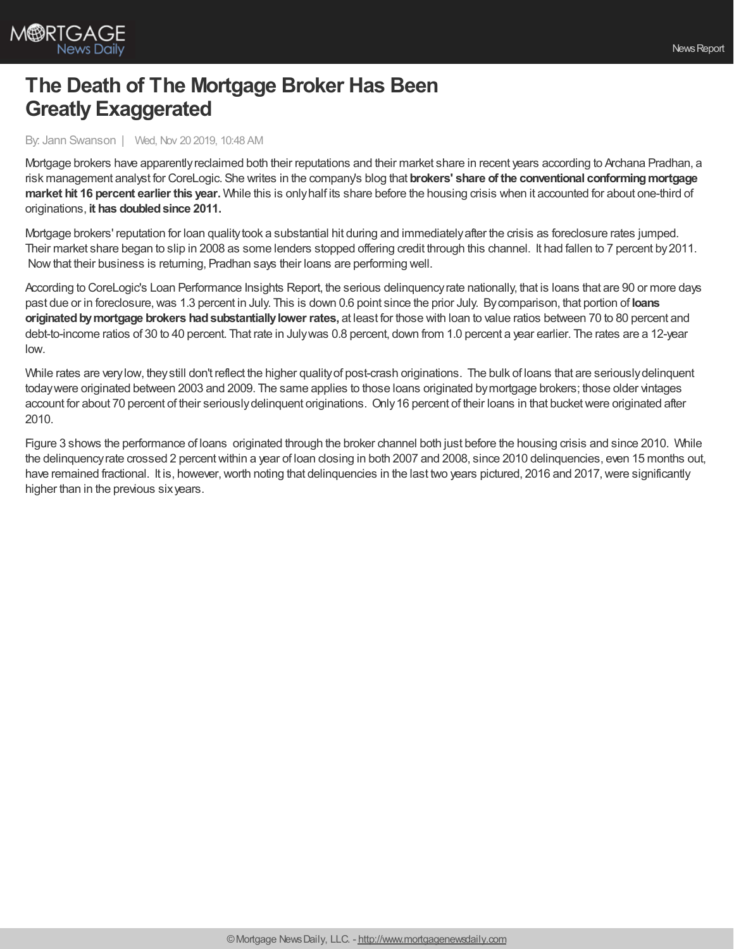

## **The Death of The Mortgage Broker Has Been Greatly Exaggerated**

By: Jann Swanson | Wed, Nov 20 2019, 10:48 AM

Mortgage brokers have apparentlyreclaimed both their reputations and their market share in recent years according to Archana Pradhan, a risk management analyst for CoreLogic. She writes in the company's blog that **brokers' share of the conventional conformingmortgage market hit 16 percent earlier this year.** While this is onlyhalf its share before the housing crisis when it accounted for about one-third of originations, **it has doubledsince 2011.**

Mortgage brokers' reputation for loan qualitytook a substantial hit during and immediatelyafter the crisis as foreclosure rates jumped. Their market share began to slip in 2008 as some lenders stopped offering credit through this channel. It had fallen to 7 percent by2011. Nowthat their business is returning, Pradhan says their loans are performing well.

According to CoreLogic's Loan Performance Insights Report, the serious delinquencyrate nationally, that is loans that are 90 or more days past due or in foreclosure,was 1.3 percent in July. This is down 0.6 point since the prior July. Bycomparison, that portion of **loans originatedbymortgage brokers hadsubstantiallylower rates,** at least for those with loan to value ratios between 70 to 80 percent and debt-to-income ratios of 30 to 40 percent. That rate in Julywas 0.8 percent, down from 1.0 percent a year earlier. The rates are a 12-year low.

While rates are verylow, theystill don't reflect the higher qualityof post-crash originations. The bulk of loans that are seriouslydelinquent todaywere originated between 2003 and 2009. The same applies to those loans originated bymortgage brokers; those older vintages account for about 70 percent of their seriouslydelinquent originations. Only16 percent of their loans in that bucketwere originated after 2010.

Figure 3 shows the performance of loans originated through the broker channel both just before the housing crisis and since 2010. While the delinquencyrate crossed 2 percentwithin a year of loan closing in both 2007 and 2008, since 2010 delinquencies, even 15 months out, have remained fractional. It is, however, worth noting that delinquencies in the last two years pictured, 2016 and 2017, were significantly higher than in the previous sixyears.